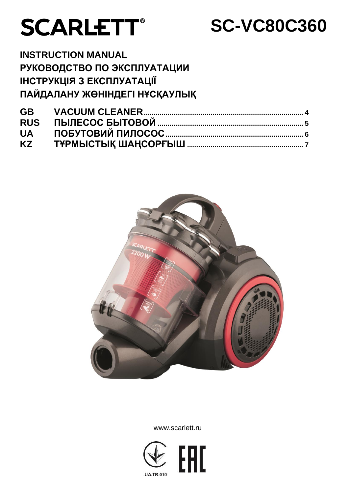# **SCARLETT®**

## **SC-VC80C360**

**INSTRUCTION MANUAL РУКОВОДСТВО ПО ЭКСПЛУАТАЦИИ ІНСТРУКЦІЯ З ЕКСПЛУАТАЦІЇ ПАЙДАЛАНУ ЖӨНІНДЕГІ НҰСҚАУЛЫҚ**



www.scarlett.ru

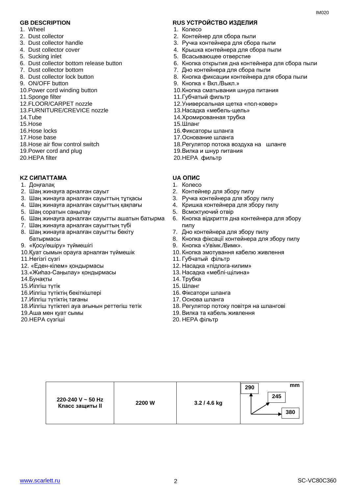- 1. Wheel
- 2. Dust collector
- 3. Dust collector handle
- 4. Dust collector cover
- 5. Sucking inlet
- 6. Dust collector bottom release button
- 7. Dust collector bottom
- 8. Dust collector lock button
- 9. ON/OFF button
- 10.Power cord winding button
- 11.Sponge filter
- 12.FLOOR/CARPET nozzle
- 13.FURNITURE/CREVICE nozzle
- 14.Tube
- 15.Hose
- 16.Hose locks
- 17.Hose base
- 18.Hose air flow control switch
- 19.Power cord and plug
- 20.HEPA filter

#### **KZ СИПАТТАМА UA ОПИС**

- 1. Доңғалақ
- 2. Шаң жинауға арналған сауыт
- 3. Шаң жинауға арналған сауыттың тұтқасы
- 4. Шаң жинауға арналған сауыттың қақпағы
- 5. Шаң соратын саңылау
- 6. Шаң жинауға арналған сауытты ашатын батырма
- 7. Шаң жинауға арналған сауыттың түбі
- 8. Шаң жинауға арналған сауытты бекіту батырмасы
- 9. «Қосу/өшіру» түймешігі
- 10.Қуат сымын орауға арналған түймешік
- 11.Негізгі сүзгі
- 12. «Еден-кілем» қондырмасы
- 13.«Жиһаз-Саңылау» қондырмасы
- 14.Бунақты
- 15.Иілгіш түтік
- 16.Иілгіш түтіктің бекіткіштері
- 17.Иілгіш түтіктің тағаны
- 18.Иілгіш түтіктегі ауа ағынын реттегіш тетік
- 19.Аша мен қуат сымы
- 20.HEPA сүзгіші

#### **GB DESCRIPTION RUS УСТРОЙСТВО ИЗДЕЛИЯ**

- 1. Колесо
- 2. Контейнер для сбора пыли
- 3. Ручка контейнера для сбора пыли
- 4. Крышка контейнера для сбора пыли
- 5. Всасывающее отверстие
- 6. Кнопка открытия дна контейнера для сбора пыли
- 7. Дно контейнера для сбора пыли
- 8. Кнопка фиксации контейнера для сбора пыли
- 9. Кнопка « Вкл./Выкл.»
- 10.Кнопка сматывания шнура питания
- 11.Губчатый фильтр
- 12.Универсальная щетка «пол-ковер»
- 13.Насадка «мебель-щель»
- 14.Хромированная трубка
- 15.Шланг
- 16.Фиксаторы шланга
- 17.Основание шланга
- 18.Регулятор потока воздуха на шланге
- 19.Вилка и шнур питания
- 20.HEPA фильтр

- 1. Колесо
- 2. Контейнер для збору пилу
- 3. Ручка контейнера для збору пилу
- 4. Кришка контейнера для збору пилу
- 5. Всмоктуючий отвір
- 6. Кнопка відкриття дна контейнера для збору пилу
- 7. Дно контейнера для збору пилу
- 8. Кнопка фіксації контейнера для збору пилу
- 9. Кнопка «Увімк./Вимк».
	- 10. Кнопка змотування кабелю живлення
	- 11. Губчатый фільтр
	- 12. Насадка «підлога-килим»
	- 13. Насадка «меблі-щілина»
	- 14. Трубка
	- 15. Шланг
	- 16. Фіксатори шланга
	- 17. Основа шланга
	- 18. Регулятор потоку повітря на шлангові
	- 19. Вилка та кабель живлення
	- 20. HEPA фільтр

|                                                  |        |                | 290 | mm         |
|--------------------------------------------------|--------|----------------|-----|------------|
| 220-240 V $\sim$ 50 Hz<br><b>Класс защиты II</b> | 2200 W | $3.2 / 4.6$ kg |     | 245<br>380 |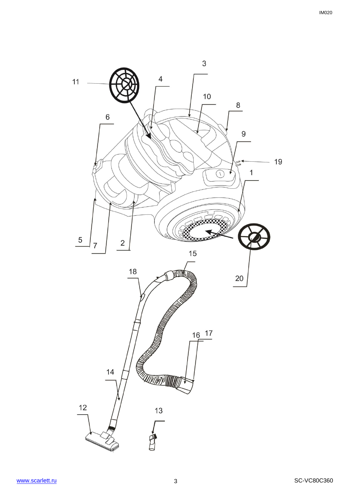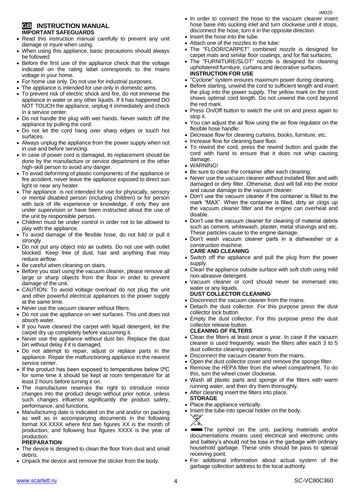#### **GB INSTRUCTION MANUAL IMPORTANT SAFEGUARDS**

- Read this instruction manual carefully to prevent any unit damage or injure when using.
- When using this appliance, basic precautions should always be followed:
- Before the first use of the appliance check that the voltage indicated on the rating label corresponds to the mains voltage in your home.
- For home use only. Do not use for industrial purposes.
- The appliance is intended for use only in domestic aims.
- To prevent risk of electric shock and fire, do not immerse the appliance in water or any other liquids. If it has happened DO NOT TOUCH the appliance, unplug it immediately and check in a service center.
- Do not handle the plug with wet hands. Never switch off the appliance by pulling the cord.
- Do not let the cord hang over sharp edges or touch hot surfaces.
- Always unplug the appliance from the power supply when not in use and before servicing.
- In case of power cord is damaged, its replacement should be done by the manufacture or service department or the other high-skill person to avoid any danger.
- To avoid deforming of plastic components of the appliance or fire accident, never leave the appliance exposed to direct sun light or near any heater.
- The appliance is not intended for use for physically, sensory [or mental disabled](https://www.multitran.ru/c/m.exe?t=5841801_1_2&s1=%F7%E5%EB%EE%E2%E5%EA%20%F1%20%EE%E3%F0%E0%ED%E8%F7%E5%ED%ED%FB%EC%E8%20%E2%EE%E7%EC%EE%E6%ED%EE%F1%F2%FF%EC%E8) person (including children) or for person with lack of life experience or knowledge, if only they are under supervision or have been instructed about the use of the unit by responsible person.
- Children must be under control in order not to be allowed to play with the appliance.
- To avoid damage of the flexible hose, do not fold or pull it strongly.
- Do not put any object into air outlets. Do not use with outlet blocked. Keep free of dust, hair and anything that may reduce airflow.
- Be careful when cleaning on stairs.
- Before you start using the vacuum cleaner, please remove all large or sharp objects from the floor in order to prevent damage of the unit.
- CAUTION: To avoid voltage overload do not plug the unit and other powerful electrical appliances to the power supply at the same time.
- Never use the vacuum cleaner without filters.
- Do not use the appliance on wet surfaces. This unit does not absorb water.
- If you have cleaned the carpet with liquid detergent, let the carpet dry up completely before vacuuming it.
- Never use the appliance without dust bin. Replace the dust bin without delay if it is damaged.
- Do not attempt to repair, adjust or replace parts in the appliance. Repair the malfunctioning appliance in the nearest service center.
- If the product has been exposed to temperatures below 0°C for some time it should be kept at room temperature for at least 2 hours before turning it on.
- The manufacturer reserves the right to introduce minor changes into the product design without prior notice, unless such changes influence significantly the product safety, performance, and functions.
- Manufacturing date is indicated on the unit and/or on packing as well as in accompanying documents in the following format XX.XXXX where first two figures XX is the month of production, and following four figures XXXX is the year of production. **PREPARATION**
- The device is designed to clean the floor from dust and small debris.
- Unpack the device and remove the sticker from the body.
- In order to connect the hose to the vacuum cleaner insert hose base into sucking inlet and turn clockwise until it stops, disconnect the hose, turn it in the opposite direction.
- Insert the hose into the tube.
- Attach one of the nozzles to the tube:
- The "FLOOR/CARPET" combined nozzle is designed for carpet mats and similar floor coatings, and for flat surfaces;
- The "FURNITURE/SLOT" nozzle is designed for cleaning upholstered furniture, curtains and decorative surfaces. **INSTRUCTION FOR USE**
- "Cyclone" system ensures maximum power during cleaning.
- Before starting, unwind the cord to sufficient length and insert the plug into the power supply. The yellow mark on the cord shows optimal cord length. Do not unwind the cord beyond the red mark.
- Press On/Off button to switch the unit on and press again to stop it.
- You can adjust the air flow using the air flow regulator on the flexible hose handle:
- Decrease flow for cleaning curtains, books, furniture, etc.
- Increase flow for cleaning bare floor.
- To rewind the cord, press the rewind button and guide the cord with hand to ensure that it does not whip causing damage.
- WARNING!
- Be sure to clean the container after each cleaning.
- Never use the vacuum cleaner without installed filter and with damaged or dirty filter. Otherwise, dust will fall into the motor and cause damage to the vacuum cleaner.
- Don't use the vacuum cleaner if the container is filled to the mark "MAX". When the container is filled, dirty air clogs up the vacuum cleaner filter and the engine can overheat and disable.
- Don't use the vacuum cleaner for cleaning of material debris such as cement, whitewash, plaster, metal shavings and etc. These particles cause to the engine damage.
- Don't wash vacuum cleaner parts in a dishwasher or a construction machine. **CARE AND CLEANING**
- Switch off the appliance and pull the plug from the power supply.
- Clean the appliance outside surface with soft cloth using mild non-abrasive detergent.
- Vacuum cleaner or cord should never be immersed into water or any liquids.

#### **DUST COLLECTOR CLEANING**

- Disconnect the vacuum cleaner from the mains.
- Detach the dust collector. For this purpose press the dust collector lock button.
- Empty the dust collector. For this purpose press the dust collector release button. **CLEANING OF FILTERS**
- Clean the filters at least once a year. In case if the vacuum cleaner is used frequently, wash the filters after each 3 to 5 dust collector cleaning operations.
- Disconnect the vacuum cleaner from the mains.
- Open the dust collector cover and remove the sponge filter.
- Remove the HEPA filter from the wheel compartment. To do this, turn the wheel cover clockwise.
- Wash all plastic parts and sponge of the filters with warm running water, and then dry them thoroughly.
- After cleaning insert the filters into place. **STORAGE**
- Place the appliance vertically.
- Insert the tube into special holder on the body.

- The symbol on the unit, packing materials and/or documentations means used electrical and electronic units and battery's should not be toss in the garbage with ordinary household garbage. These units should be pass to special receiving point.
- For additional information about actual system of the garbage collection address to the local authority.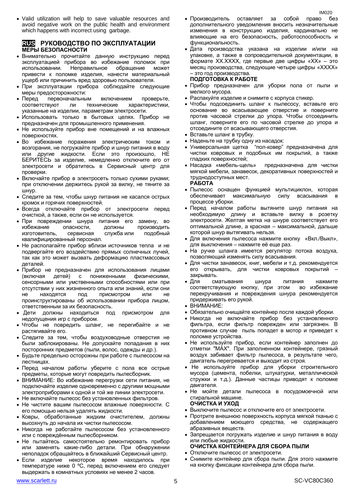Valid utilization will help to save valuable resources and avoid negative work on the public health and environment which happens with incorrect using garbage.

#### **RUS РУКОВОДСТВО ПО ЭКСПЛУАТАЦИИ МЕРЫ БЕЗОПАСНОСТИ**

- Внимательно прочитайте данную инструкцию перед эксплуатацией прибора во избежание поломок при использовании. Неправильное обращение может привести к поломке изделия, нанести материальный ущерб или причинить вред здоровью пользователя.
- При эксплуатации прибора соблюдайте следующие меры предосторожности:
- Перед первоначальным включением проверьте, соответствуют ли технические характеристики, указанные на изделии, параметрам электросети.
- Использовать только в бытовых целях. Прибор не предназначен для промышленного применения.
- Не используйте прибор вне помещений и на влажных поверхностях.
- Во избежание поражения электрическим током и возгорания, не погружайте прибор и шнур питания в воду или другие жидкости. Если это произошло, НЕ БЕРИТЕСЬ за изделие, немедленно отключите его от электросети и обратитесь в Сервисный центр для проверки.
- Включайте прибор в электросеть только сухими руками; при отключении держитесь рукой за вилку, не тяните за шнур.
- Следите за тем, чтобы шнур питания не касался острых кромок и горячих поверхностей.
- Всегда отключайте прибор от электросети перед очисткой, а также, если он не используется.
- При повреждении шнура питания его замену, во избежание опасности, должны производить изготовитель, сервисная служба или подобный квалифицированный персонал.
- Не располагайте прибор вблизи источников тепла и не подвергайте его воздействию прямых солнечных лучей, так как это может вызвать деформацию пластмассовых деталей.
- Прибор не предназначен для использования лицами (включая детей) с пониженными физическими, сенсорными или умственными способностями или при отсутствии у них жизненного опыта или знаний, если они не находятся под присмотром или не проинструктированы об использовании прибора лицом, ответственным за их безопасность.
- Дети должны находиться под присмотром для недопущения игр с прибором.
- Чтобы не повредить шланг, не перегибайте и не растягивайте его.
- Следите за тем, чтобы воздуховодные отверстия не были заблокированы. Не допускайте попадания в них посторонних предметов (пыли, волос, одежды и др.).
- Будьте предельно осторожны при работе с пылесосом на лестницах.
- Перед началом работы уберите с пола все острые предметы, которые могут повредить пылесборник.
- ВНИМАНИЕ: Во избежание перегрузки сети питания, не подключайте изделие одновременно с другими мощными электроприборами к одной и той же линии электросети.
- Не включайте пылесос без установленных фильтров.
- Не чистите вашим пылесосом влажные поверхности. С его помощью нельзя удалять жидкости.
- Ковры, обработанные жидким очистителем, должны высохнуть до начала их чистки пылесосом.
- Никогда не работайте пылесосом без установленного или с повреждённым пылесборником.
- Не пытайтесь самостоятельно ремонтировать прибор или заменять какие-либо детали. При обнаружении неполадок обращайтесь в ближайший Сервисный центр.
- Если изделие некоторое время находилось при температуре ниже 0 ºC, перед включением его следует выдержать в комнатных условиях не менее 2 часов.
- Производитель оставляет за собой право без дополнительного уведомления вносить незначительные изменения в конструкцию изделия, кардинально не влияющие на его безопасность, работоспособность и функциональность.
- Дата производства указана на изделии и/или на упаковке, а также в сопроводительной документации, в формате XX.XXXX, где первые две цифры «XX» – это месяц производства, следующие четыре цифры «XXXX» – это год производства.

#### **ПОДГОТОВКА К РАБОТЕ**

- Прибор предназначен для уборки пола от пыли и мелкого мусора.
- Распакуйте изделие и снимите с корпуса стикер.
- Чтобы подсоединить шланг к пылесосу, вставьте его основание во всасывающее отверстие и поверните против часовой стрелки до упора. Чтобы отсоединить шланг, поверните его по часовой стрелке до упора и отсоедините от всасывающего отверстия.
- Вставьте шланг в трубку.
- Наденьте на трубку одну из насадок:
- Универсальная щетка "пол-ковер" предназначена для чистки ковровых и подобных им покрытий, а также гладких поверхностей;
- Насадка «мебель-щель» предназначена для чистки мягкой мебели, занавесок, декоративных поверхностей и труднодоступных мест. **РАБОТА**
- Пылесос оснащен функцией мультициклон, которая обеспечивает максимальную силу всасывания в процессе уборки.
- Перед началом работы вытяните шнур питания на необходимую длину и вставьте вилку в розетку электросети. Желтая метка на шнуре соответствует его оптимальной длине, а красная – максимальной, дальше которой шнур вытягивать нельзя.
- Для включения пылесоса нажмите кнопку «Вкл./Выкл», для выключения – нажмите её еще раз.
- На ручке шланга имеется регулятор потока воздуха, позволяющий изменять силу всасывания.
- Для чистки занавесок, книг, мебели и т.д. рекомендуется его открывать, для чистки ковровых покрытий закрывать.
- Для сматывания шнура питания нажмите соответствующую кнопку, при этом во избежание перекручивания и повреждения шнура рекомендуется придерживать его рукой.
- ВНИМАНИЕ:
- Обязательно очищайте контейнер после каждой уборки.
- Никогда не включайте прибор без установленного фильтра, если фильтр поврежден или загрязнен. В противном случае пыль попадет в мотор и приведет к поломке устройства.
- Не используйте прибор, если контейнер заполнен до отметки "MAX". При заполненном контейнере, грязный воздух забивает фильтр пылесоса, в результате чего, двигатель перегревается и выходит из строя.
- Не используйте прибор для уборки строительного мусора (цемента, побелки, штукатурки, металлической стружки и т.д.). Данные частицы приводят к поломке двигателя.
- Не мойте детали пылесоса в посудомоечной или стиральной машине. **ОЧИСТКА И УХОД**
- Выключите пылесос и отключите его от электросети.
- Протрите внешнюю поверхность корпуса мягкой тканью с добавлением моющего средства, не содержащего абразивных веществ.
- Запрещается погружать изделие и шнур питания в воду или любые жидкости.

### **ОЧИСТКА КОНТЕЙНЕРА ДЛЯ СБОРА ПЫЛИ**

- Отключите пылесос от электросети.
- Снимите контейнер для сбора пыли. Для этого нажмите на кнопку фиксации контейнера для сбора пыли.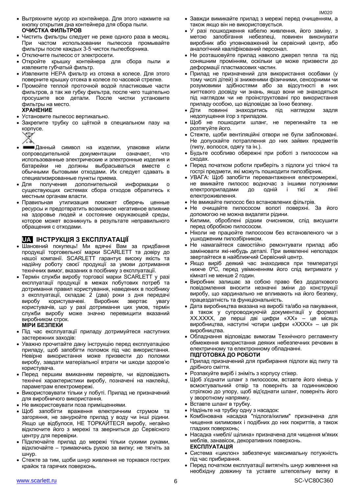- Вытряхните мусор из контейнера. Для этого нажмите на кнопку открытия дна контейнера для сбора пыли. ОЧИСТКА ФИЛЬТРОВ
- Чистить фильтры следует не реже одного раза в месяц. При частом использовании пылесоса промывайте фильтры после каждых 3-5 чисток пылесборника.
- Отключите пылесос от электросети.
- Откройте крышку контейнера для сбора пыли и извлеките губчатый фильтр.
- Извлеките НЕРА фильтр из отсека в колесе. Для этого поверните крышку отсека в колесе по часовой стрелке.
- Промойте теплой проточной водой пластиковые части фильтров, а так же губку фильтра, после чего тщательно просушите все детали. После чистки установите фильтры на место.

#### **ХРАНЕНИЕ**

- Установите пылесос вертикально.
- Закрепите трубку со щёткой в специальном пазу на корпусе.



- **Данный символ на изделии,** упаковке и/или сопроводительной документации означает. **UTO** использованные электрические и электронные изделия и батарейки не должны выбрасываться вместе с обычными бытовыми отходами. Их следует сдавать в специализированные пункты приема.
- Лпя получения дополнительной информации  $\Omega$ существующих системах сбора отходов обратитесь к местным органам власти.
- Правильная утилизация поможет сберечь ценные ресурсы и предотвратить возможное негативное влияние на здоровье людей и состояние окружающей среды, которое может возникнуть в результате неправильного обращения с отходами.

#### **UA ІНСТРУКЦІЯ З ЕКСПЛУАТАЦІЇ**

- Шановний покупець! Ми вдячні Вам за придбання продукції торговельної марки SCARLETT та довіру до нашої компанії. SCARLETT гарантує високу якість та надійну роботу своєї продукції за умови дотримання технічних вимог, вказаних в посібнику з експлуатації.
- Термін служби виробу торгової марки SCARLETT у разі експлуатації продукції в межах побутових потреб та дотримання правил користування, наведених в посібнику з експлуатації, складає 2 (два) роки з дня передачі Виробник виробу користувачеві. звертає **VBALV** користувачів, що у разі дотримання цих умов, термін служби виробу може значно перевищити вказаний виробником строк.

#### **МІРИ БЕЗПЕКИ**

- Під час експлуатації приладу дотримуйтеся наступних застережних заходів:
- Уважно прочитайте дану інструкцію перед експлуатацією приладу, щоб запобігти поломок під час використання. Невірне використання може призвести до поломки виробу, завдати матеріальної втрати чи шкоди здоров'ю користувача.
- Перед першим вмиканням перевірте, чи відповідають технічні характеристики виробу, позначені на наклейці, параметрам електромережі.
- Використовувати тільки у побуті. Прилад не призначений для виробничого використання.
- Не використовувати поза приміщеннями.
- Щоб запобігти враження електричним струмом та загоряння, не занурюйте прилад у воду чи інші рідини. Якщо це відбулося, НЕ ТОРКАЙТЕСЯ виробу, негайно відключите його з мережі та зверниться до Сервісного центру для перевірки.
- Підключайте прилад до мережі тільки сухими руками, відключайте - тримаючись рукою за вилку; не тягніть за ШHVD.
- Стежте за тим, щоби шнур живлення не торкався гострих крайок та гарячих поверхонь.
- Завжди вимикайте прилад з мережі перед очищенням, а також якщо він не використовується.
- У разі пошкодження кабелю живлення, його заміну, з метою запобігання небезпеці, повинен виконувати виробник або уповноважений їм сервісний центр, або аналогічний кваліфікований персонал.
- Не розташовуйте прилад навколо джерел тепла та під соняшним промінням, оскільки це може призвести до деформації пластмасових частин.
- Прилад не призначений для використання особами (у тому числі дітей) зі зниженими фізичними, сенсорними чи розумовими здібностями або за відсутності в них життєвого досвіду чи знань, якщо вони не знаходяться під наглядом чи не проінструктовані про використання приладу особою, що відповідає за їхню безпеку.
- Діти повинні знаходитись під наглядом задля недопущення ігор з приладом.
- Щоб не пошкодити шланг, не перегинайте та не  $\bullet$ розтягуйте його.
- Стежте, щоби вентіляційні отвори не були заблоковані. Не допускайте потраплення до них зайвих предметів (пилу, волосся, одягу та ін.).
- Будьте особливо обережні при роботі з пилососом на сходах.
- Перед початком роботи приберіть з підлоги усі тліючі та гострі предмети, які можуть пошкодити пилозбірник.
- УВАГА: Щоб запобігти перевантаження електромережі. не вмикайте пилосос водночас з іншими потужними електроприладами одній до - i тієї Ж лінії електроживлення.
- Не вмикайте пилосос без встановлених фільтрів.
- Не очищайте пилососом вологі поверхні. За його допомогою не можна видаляти рідини.
- Килими, оброблені рідким очисником, слід висушити перед обробкою пилососом.
- Ніколи не працюйте пилососом без встановленого чи з ушкодженим пилозбірником.
- Не намагайтеся самостійно ремонтувати прилад або замінювати які-небудь деталі. При виявленні неполадок звертайтеся в найближчий Сервісний центр.
- Якщо виріб деякий час знаходився при температурі нижче 0°С, перед увімкненням його слід витримати у кімнаті не менше 2 годин.
- Виробник залишає за собою право без додаткового повідомлення вносити незначні зміни до конструкції виробу, що кардинально не впливають на його безпеку, працездатність та функціональність.
- Дата виробництва вказана на виробі та/або на пакування, а також у супроводжуючій документації у форматі<br>XX.XXXX, де перші дві цифри «XX» – це місяць виробництва, наступні чотири цифри «XXXX» - це рік виробництва.
- Обладнання відповідає вимогам Технічного регламенту обмеження використання деяких небезпечних речовин в електричному та електронному обладнанні. ПІДГОТОВКА ДО РОБОТИ
- Прилад призначений для прибирання підлоги від пилу та дрібного сміття.
- Розпакуйте виріб і зніміть з корпусу стікер.
- Щоб з'єднати шланг з пилососом, вставте його кінець у всмоктувальний отвір та поверніть за годинниковою стрілкою до упору, щоб від'єднати шланг, поверніть його у зворотному напрямку.
- Вставте шланг в трубку.
- Надіньте на трубку одну з насадок:
- Комбінована насадка "підлога/килим" призначена для чищення килимових і подібних до них покриттів, а також гладких поверхонь:
- Насадка «меблі/ шілина» призначена для чищення м'яких меблів, занавісок, декоративних поверхонь. **ЕКСПЛУАТАЦІЯ**
- Система «циклон» забезпечує максимальну потужність під час прибирання.
- Перед початком експлуатації витягніть шнур живлення на необхідну довжину та уставте штепсельну вилку в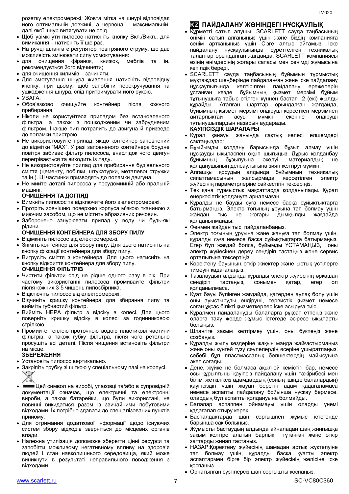розетку електромережі. Жовта мітка на шнурі відповідає його оптимальній довжині, а червона – максимальній, далі якої шнур витягувати не слід.

- Щоб увімкнути пилосос натисніть кнопку Вкл./Викл., для вимикання – натисніть її ще раз.
- На ручці шланга є регулятор повітряного струму, що дає можливість змінювати силу усмоктування:
- для очищення фіранок, книжок, меблів та ін. рекомендується його відчиняти;
- для очищення килимів зачиняти.
- Для змотування шнура живлення натисніть відповідну кнопку, при цьому, щоб запобігти перекручування та ушкодження шнура, слід притримувати його рукою.
- УВАГА:
- Обов'язково очищуйте контейнер після кожного прибирання.
- Ніколи не користуйтеся приладом без встановленого фільтра, а також з пошкодженим чи забрудненим фільтром. Інакше пил потрапить до двигуна й призведе до поламки пристрою.
- Не використовуйте прилад, якщо контейнер заповнений до відмітки "MAX". У разі заповненого контейнера брудне повітря забиває фільтр пилососа, внаслідок чого двигун перегрівається та виходить із ладу.
- Не використовуйте прилад для прибирання будівельного сміття (цементу, побілки, штукатурки, металевої стружки та ін.). Ці частинки призводять до поламки двигуна.
- Не мийте деталі пилососа у посудомийній або пральній машині.

### **ОЧИЩЕННЯ ТА ДОГЛЯД**

- Вимкніть пилосос та відключите його з електромережі.
- Протріть зовнішню поверхню корпуса м'якою тканиною з миючим засобом, що не містить абразивних речовин.
- Заборонено занурювати прилад у воду чи будь-які рідини.

### **ОЧИЩЕННЯ КОНТЕЙНЕРА ДЛЯ ЗБОРУ ПИЛУ**

- Відімкніть пилосос від електромережі.
- Зніміть контейнер для збору пилу. Для цього натисніть на кнопку фіксації контейнера для збору пилу.
- Витрусіть сміття з контейнера. Для цього натисніть на кнопку відкриття контейнера для збору пилу. **ОЧИЩЕННЯ ФІЛЬТРІВ**
- Чистити фільтри слід не рідше одного разу в рік. При частому використанні пилососа промивайте фільтри після кожних 3-5 чищень пилозбірника.
- Відключіть пилосос від електромережі.
- Відчиніть кришку контейнера для збирання пилу та вийміть губчастий фільтр.
- Вийміть HEPA фільтр з відсіку в колесі. Для цього поверніть кришку відсіку в колесі за годинниковою стрілкою.
- Промийте теплою проточною водою пластикові частини фільтрів, а також губку фільтра, після чого ретельно просушіть всі деталі. Після чищення встановіть фільтри на місце.

### **ЗБЕРЕЖЕННЯ**

- Установіть пилосос вертикально.
- Закріпіть трубку зі щіткою у спеціальному пазі на корпусі.
- Цей символ на виробі, упаковці та/або в супровідній документації означає, що електричні та електронні вироби, а також батарейки, що були використані, не повинні викидатися разом із звичайними побутовими відходами. Їх потрібно здавати до спеціалізованих пунктів прийому.
- Для отримання додаткової інформації щодо існуючих систем збору відходів зверніться до місцевих органів влади.
- Належна утилізація допоможе зберегти цінні ресурси та запобігти можливому негативному впливу на здоров'я людей і стан навколишнього середовища, який може виникнути в результаті неправильного поводження з відходами.

## **KZ ПАЙДАЛАНУ ЖӨНІНДЕГІ НҰСҚАУЛЫҚ**

- Құрметті сатып алушы! SCARLETT сауда таңбасының өнімін сатып алғаныңыз үшін және біздің компанияға сенім артқаныңыз үшін Сізге алғыс айтамыз. Іске пайдалану нұсқаулығында суреттелген техникалық талаптар орындалған жағдайда, SCARLETT компаниясы өзінің өнімдерінің жоғары сапасы мен сенімді жұмысына кепілдік береді.
- SCARLETT сауда таңбасының бұйымын тұрмыстық мұқтаждар шеңберінде пайдаланған және іске пайдалану нұсқаулығында келтірілген пайдалану ережелерін ұстанған кезде, бұйымның қызмет мерзімі бұйым тұтынушыға табыс етілген күннен бастап 2 (екі) жылды құрайды. Аталған шарттар орындалған жағдайда, бұйымның қызмет мерзімі өндіруші көрсеткен мерзімнен айтарлықтай асуы мүмкін екеніне өндіруші тұтынушылардың назарын аударады.
	- **ҚАУІПСІЗДІК ШАРАЛАРЫ**
- Құрал қанауы жанында сақтық келесі өлшемдері сақтаңыздар:
- Бұыйымды қолдану барысында бұзып алмау үшін нұсқауды ықыласпен оқып шығыңыз. Дұрыс қолданбау бұйымның бұзылуына әкелуі, материалдық не қолданушының денсаулығына зиян келтіруі мүмкін.
- Алғашқы қосудың алдында бұйымның техникалық сипаттамасының жапсырмада көрсетілген электр жүйесінің параметрлеріне сәйкестігін тексеріңіз.
- Тек қана тұрмыстық мақсаттарда қолданылады. Құрал өнеркәсіптік қолдануға арналмаған.
- Құралды не бауды суға немесе басқа сұйықтықтарға батырмаңыз. Электр тоғының ұруына тап болмау үшін жайдан тыс не жоғары дымқылды жағдайда қолданылмайды.
- Фенмен жайдан тыс пайдаланбаңыз.
- Электр тоғының ұруына және жануға тап болмау үшін, құралды суға немесе басқа сұйықтықтарға батырмаңыз. Егер бұл жағдай болса, бұйымды ҰСТАМАҢЫЗ, оны электр жүйесінен дереу сөндіріп тастаңыз және сервис орталығына тексертіңіз.
- Қоректену бауының өткір жиектер және ыстық үстілерге тимеуін қадағалаңыз.
- Тазалаудың алдында құралды электр жүйесінің әрқашан сөндіріп тастаңыз, сонымен қатар, егер қолданылмаса.
- Қуат бауы бүлінген жағдайда, қатерден аулақ болу үшін оны ауыстыруды өндіруші, сервистік қызмет немесе соған ұқсас білікті қызметкерлер іске асыруға тиіс.
- Құралмен пайдалануды балаларға рұқсат етпеңіз және оларға таяу жерде жұмыс істегеде әсіресе ықыласты болыңыз.
- Шлангіге зақым келтірмеу үшін, оны бүкпеңіз және созбаңыз.
- Құралды жылу көздеріңе жақын маңда жайғастырмаңыз және оны күнгей түзу сәулелердің әсеріне ұшыратпаңыз, себебі бұл пластмассалық бөлшектердің майысуына әкеп соғады.
- Дене, жүйке не болмаса ақыл-ой кемістігі бар, немесе осы құрылғыны қауіпсіз пайдалану үшін тәжірибесі мен білімі жеткіліксіз адамдардың (соның ішінде балалардың) қауіпсіздігі үшін жауап беретін адам қадағаламаса немесе аспапты пайдалану бойынша нұсқау бермесе, олардың бұл аспапты қолдануына болмайды.
- Балалар аспаппен ойнамауы үшін оларды үнемі қадағалап отыру керек.
- Баспалдақтарда шаң сорғышпен жұмыс істегенде барынша сақ болыңыз.
- Жұмысты бастаудың алдында айналадан шаң жинғышқа зақым келтіре алатын барлық тұтанған және өткір заттарды жинап тастаңыз.
- НАЗАР:Қоректену жүйесінің шамадан артық жүктелуіне тап болмау үшін, құралды басқа қуатты электр аспаптармен бірге бір электр жүйесінің желісіне іске қоспаңыз.
- Орнатылған сүзгілерсіз шаң сорғышты қоспаңыз.